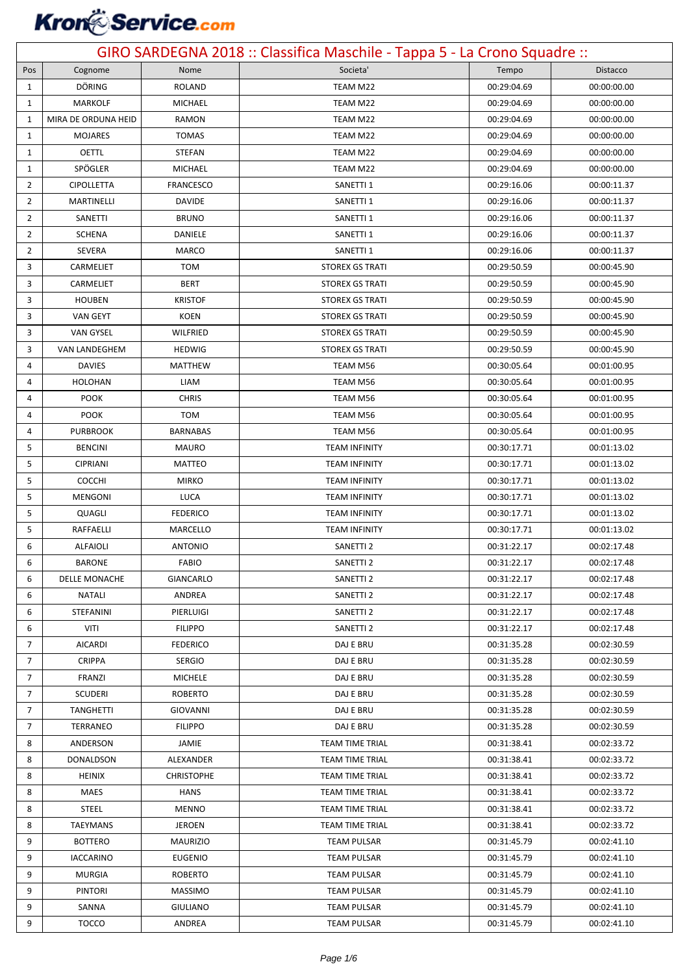# **Kron** Service.com

| GIRO SARDEGNA 2018 :: Classifica Maschile - Tappa 5 - La Crono Squadre :: |                     |                   |                        |             |             |
|---------------------------------------------------------------------------|---------------------|-------------------|------------------------|-------------|-------------|
| Pos                                                                       | Cognome             | Nome              | Societa'               | Tempo       | Distacco    |
| 1                                                                         | DÖRING              | ROLAND            | TEAM M22               | 00:29:04.69 | 00:00:00.00 |
| 1                                                                         | <b>MARKOLF</b>      | <b>MICHAEL</b>    | TEAM M22               | 00:29:04.69 | 00:00:00.00 |
| $\mathbf{1}$                                                              | MIRA DE ORDUNA HEID | RAMON             | TEAM M22               | 00:29:04.69 | 00:00:00.00 |
| 1                                                                         | <b>MOJARES</b>      | <b>TOMAS</b>      | TEAM M22               | 00:29:04.69 | 00:00:00.00 |
| 1                                                                         | <b>OETTL</b>        | STEFAN            | TEAM M22               | 00:29:04.69 | 00:00:00.00 |
| 1                                                                         | SPÖGLER             | MICHAEL           | TEAM M22               | 00:29:04.69 | 00:00:00.00 |
| $\overline{2}$                                                            | <b>CIPOLLETTA</b>   | <b>FRANCESCO</b>  | SANETTI 1              | 00:29:16.06 | 00:00:11.37 |
| $\overline{2}$                                                            | <b>MARTINELLI</b>   | <b>DAVIDE</b>     | SANETTI 1              | 00:29:16.06 | 00:00:11.37 |
| 2                                                                         | SANETTI             | <b>BRUNO</b>      | SANETTI 1              | 00:29:16.06 | 00:00:11.37 |
| $\overline{2}$                                                            | <b>SCHENA</b>       | DANIELE           | SANETTI 1              | 00:29:16.06 | 00:00:11.37 |
| 2                                                                         | SEVERA              | MARCO             | SANETTI 1              | 00:29:16.06 | 00:00:11.37 |
| 3                                                                         | CARMELIET           | <b>TOM</b>        | <b>STOREX GS TRATI</b> | 00:29:50.59 | 00:00:45.90 |
| 3                                                                         | CARMELIET           | <b>BERT</b>       | <b>STOREX GS TRATI</b> | 00:29:50.59 | 00:00:45.90 |
| 3                                                                         | <b>HOUBEN</b>       | <b>KRISTOF</b>    | <b>STOREX GS TRATI</b> | 00:29:50.59 | 00:00:45.90 |
| 3                                                                         | VAN GEYT            | KOEN              | <b>STOREX GS TRATI</b> | 00:29:50.59 | 00:00:45.90 |
| 3                                                                         | <b>VAN GYSEL</b>    | WILFRIED          | <b>STOREX GS TRATI</b> | 00:29:50.59 | 00:00:45.90 |
| 3                                                                         | VAN LANDEGHEM       | <b>HEDWIG</b>     | <b>STOREX GS TRATI</b> | 00:29:50.59 | 00:00:45.90 |
| 4                                                                         | <b>DAVIES</b>       | MATTHEW           | TEAM M56               | 00:30:05.64 | 00:01:00.95 |
| 4                                                                         | <b>HOLOHAN</b>      | LIAM              | TEAM M56               | 00:30:05.64 | 00:01:00.95 |
| 4                                                                         | <b>POOK</b>         | <b>CHRIS</b>      | TEAM M56               | 00:30:05.64 | 00:01:00.95 |
| 4                                                                         | <b>POOK</b>         | <b>TOM</b>        | TEAM M56               | 00:30:05.64 | 00:01:00.95 |
| 4                                                                         | <b>PURBROOK</b>     | <b>BARNABAS</b>   | TEAM M56               | 00:30:05.64 | 00:01:00.95 |
| 5                                                                         | <b>BENCINI</b>      | <b>MAURO</b>      | <b>TEAM INFINITY</b>   | 00:30:17.71 | 00:01:13.02 |
| 5                                                                         | <b>CIPRIANI</b>     | MATTEO            | <b>TEAM INFINITY</b>   | 00:30:17.71 | 00:01:13.02 |
| 5                                                                         | <b>COCCHI</b>       | <b>MIRKO</b>      | <b>TEAM INFINITY</b>   | 00:30:17.71 | 00:01:13.02 |
| 5                                                                         | <b>MENGONI</b>      | LUCA              | <b>TEAM INFINITY</b>   | 00:30:17.71 | 00:01:13.02 |
| 5                                                                         | QUAGLI              | <b>FEDERICO</b>   | <b>TEAM INFINITY</b>   | 00:30:17.71 | 00:01:13.02 |
| 5                                                                         | RAFFAELLI           | MARCELLO          | <b>TEAM INFINITY</b>   | 00:30:17.71 | 00:01:13.02 |
| 6                                                                         | <b>ALFAIOLI</b>     | <b>ANTONIO</b>    | SANETTI <sub>2</sub>   | 00:31:22.17 | 00:02:17.48 |
| 6                                                                         | BARONE              | FABIO             | SANETTI <sub>2</sub>   | 00:31:22.17 | 00:02:17.48 |
| 6                                                                         | DELLE MONACHE       | GIANCARLO         | SANETTI 2              | 00:31:22.17 | 00:02:17.48 |
| 6                                                                         | NATALI              | ANDREA            | SANETTI <sub>2</sub>   | 00:31:22.17 | 00:02:17.48 |
| 6                                                                         | STEFANINI           | PIERLUIGI         | <b>SANETTI 2</b>       | 00:31:22.17 | 00:02:17.48 |
| 6                                                                         | VITI                | <b>FILIPPO</b>    | SANETTI <sub>2</sub>   | 00:31:22.17 | 00:02:17.48 |
| $\overline{7}$                                                            | <b>AICARDI</b>      | <b>FEDERICO</b>   | DAJ E BRU              | 00:31:35.28 | 00:02:30.59 |
| $\overline{7}$                                                            | <b>CRIPPA</b>       | SERGIO            | DAJ E BRU              | 00:31:35.28 | 00:02:30.59 |
| $\overline{7}$                                                            | FRANZI              | <b>MICHELE</b>    | DAJ E BRU              | 00:31:35.28 | 00:02:30.59 |
| $\overline{7}$                                                            | <b>SCUDERI</b>      | <b>ROBERTO</b>    | DAJ E BRU              | 00:31:35.28 | 00:02:30.59 |
| $\overline{7}$                                                            | <b>TANGHETTI</b>    | <b>GIOVANNI</b>   | DAJ E BRU              | 00:31:35.28 | 00:02:30.59 |
| $\overline{7}$                                                            | TERRANEO            | <b>FILIPPO</b>    | DAJ E BRU              | 00:31:35.28 | 00:02:30.59 |
| 8                                                                         | ANDERSON            | JAMIE             | TEAM TIME TRIAL        | 00:31:38.41 | 00:02:33.72 |
| 8                                                                         | DONALDSON           | ALEXANDER         | <b>TEAM TIME TRIAL</b> | 00:31:38.41 | 00:02:33.72 |
| 8                                                                         | <b>HEINIX</b>       | <b>CHRISTOPHE</b> | TEAM TIME TRIAL        | 00:31:38.41 | 00:02:33.72 |
| 8                                                                         | MAES                | HANS              | TEAM TIME TRIAL        | 00:31:38.41 | 00:02:33.72 |
| 8                                                                         | <b>STEEL</b>        | <b>MENNO</b>      | TEAM TIME TRIAL        | 00:31:38.41 | 00:02:33.72 |
| 8                                                                         | <b>TAEYMANS</b>     | <b>JEROEN</b>     | TEAM TIME TRIAL        | 00:31:38.41 | 00:02:33.72 |
| 9                                                                         | <b>BOTTERO</b>      | <b>MAURIZIO</b>   | <b>TEAM PULSAR</b>     | 00:31:45.79 | 00:02:41.10 |
| 9                                                                         | <b>IACCARINO</b>    | <b>EUGENIO</b>    | <b>TEAM PULSAR</b>     | 00:31:45.79 | 00:02:41.10 |
| 9                                                                         | <b>MURGIA</b>       | <b>ROBERTO</b>    | <b>TEAM PULSAR</b>     | 00:31:45.79 | 00:02:41.10 |
| 9                                                                         | <b>PINTORI</b>      | <b>MASSIMO</b>    | <b>TEAM PULSAR</b>     | 00:31:45.79 | 00:02:41.10 |
| 9                                                                         | SANNA               | GIULIANO          | TEAM PULSAR            | 00:31:45.79 | 00:02:41.10 |
| 9                                                                         | <b>TOCCO</b>        | ANDREA            | <b>TEAM PULSAR</b>     | 00:31:45.79 | 00:02:41.10 |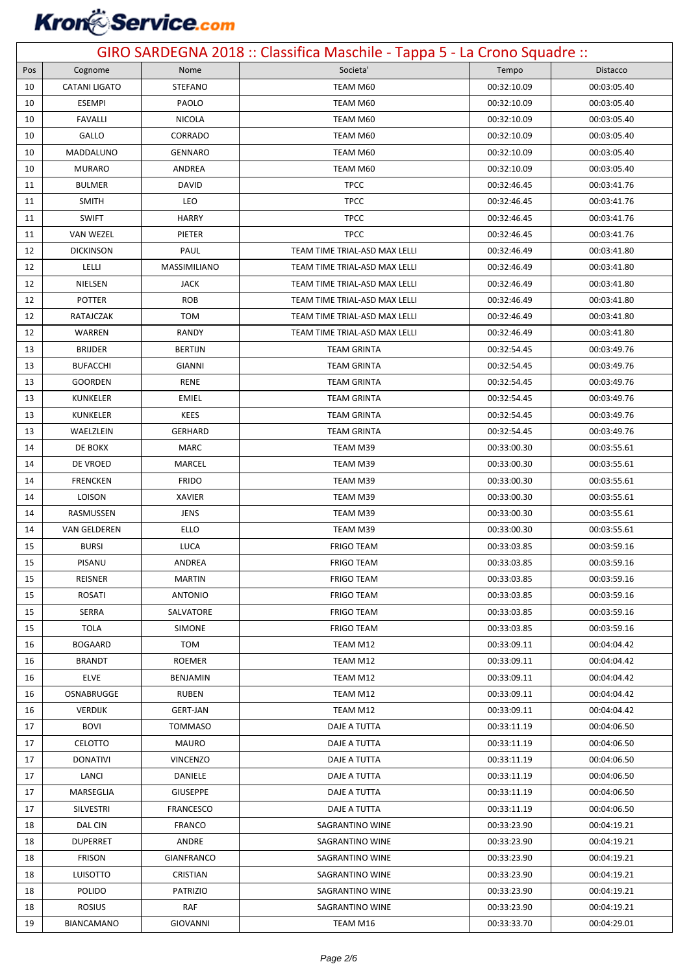## **Kron** Service.com

| GIRO SARDEGNA 2018 :: Classifica Maschile - Tappa 5 - La Crono Squadre :: |                      |                        |                                    |                            |                            |  |
|---------------------------------------------------------------------------|----------------------|------------------------|------------------------------------|----------------------------|----------------------------|--|
| Pos                                                                       | Cognome              | Nome                   | Societa'                           | Tempo                      | Distacco                   |  |
| 10                                                                        | <b>CATANI LIGATO</b> | <b>STEFANO</b>         | TEAM M60                           | 00:32:10.09                | 00:03:05.40                |  |
| 10                                                                        | <b>ESEMPI</b>        | PAOLO                  | TEAM M60                           | 00:32:10.09                | 00:03:05.40                |  |
| 10                                                                        | <b>FAVALLI</b>       | <b>NICOLA</b>          | TEAM M60                           | 00:32:10.09                | 00:03:05.40                |  |
| 10                                                                        | GALLO                | CORRADO                | TEAM M60                           | 00:32:10.09                | 00:03:05.40                |  |
| 10                                                                        | MADDALUNO            | <b>GENNARO</b>         | TEAM M60                           | 00:32:10.09                | 00:03:05.40                |  |
| 10                                                                        | <b>MURARO</b>        | ANDREA                 | TEAM M60                           | 00:32:10.09                | 00:03:05.40                |  |
| 11                                                                        | <b>BULMER</b>        | DAVID                  | <b>TPCC</b>                        | 00:32:46.45                | 00:03:41.76                |  |
| 11                                                                        | <b>SMITH</b>         | LEO                    | <b>TPCC</b>                        | 00:32:46.45                | 00:03:41.76                |  |
| 11                                                                        | <b>SWIFT</b>         | <b>HARRY</b>           | <b>TPCC</b>                        | 00:32:46.45                | 00:03:41.76                |  |
| 11                                                                        | <b>VAN WEZEL</b>     | PIETER                 | <b>TPCC</b>                        | 00:32:46.45                | 00:03:41.76                |  |
| 12                                                                        | <b>DICKINSON</b>     | PAUL                   | TEAM TIME TRIAL-ASD MAX LELLI      | 00:32:46.49                | 00:03:41.80                |  |
| 12                                                                        | LELLI                | MASSIMILIANO           | TEAM TIME TRIAL-ASD MAX LELLI      | 00:32:46.49                | 00:03:41.80                |  |
| 12                                                                        | NIELSEN              | <b>JACK</b>            | TEAM TIME TRIAL-ASD MAX LELLI      | 00:32:46.49                | 00:03:41.80                |  |
| 12                                                                        | <b>POTTER</b>        | <b>ROB</b>             | TEAM TIME TRIAL-ASD MAX LELLI      | 00:32:46.49                | 00:03:41.80                |  |
| 12                                                                        | RATAJCZAK            | <b>TOM</b>             | TEAM TIME TRIAL-ASD MAX LELLI      | 00:32:46.49                | 00:03:41.80                |  |
| 12                                                                        | WARREN               | RANDY                  | TEAM TIME TRIAL-ASD MAX LELLI      | 00:32:46.49                | 00:03:41.80                |  |
| 13                                                                        | <b>BRIJDER</b>       | <b>BERTIJN</b>         | <b>TEAM GRINTA</b>                 | 00:32:54.45                | 00:03:49.76                |  |
| 13                                                                        | <b>BUFACCHI</b>      | GIANNI                 | <b>TEAM GRINTA</b>                 | 00:32:54.45                | 00:03:49.76                |  |
| 13                                                                        | <b>GOORDEN</b>       | RENE                   | <b>TEAM GRINTA</b>                 | 00:32:54.45                | 00:03:49.76                |  |
| 13                                                                        | KUNKELER             | EMIEL                  | <b>TEAM GRINTA</b>                 | 00:32:54.45                | 00:03:49.76                |  |
| 13                                                                        | KUNKELER             | <b>KEES</b>            | <b>TEAM GRINTA</b>                 | 00:32:54.45                | 00:03:49.76                |  |
| 13                                                                        | WAELZLEIN            | <b>GERHARD</b>         | <b>TEAM GRINTA</b>                 | 00:32:54.45                | 00:03:49.76                |  |
| 14                                                                        | DE BOKX              | <b>MARC</b>            | TEAM M39                           | 00:33:00.30                | 00:03:55.61                |  |
| 14                                                                        | DE VROED             | MARCEL                 | TEAM M39                           | 00:33:00.30                | 00:03:55.61                |  |
| 14                                                                        | <b>FRENCKEN</b>      | <b>FRIDO</b>           | TEAM M39                           | 00:33:00.30                | 00:03:55.61                |  |
| 14                                                                        | LOISON               | <b>XAVIER</b>          | TEAM M39                           | 00:33:00.30                | 00:03:55.61                |  |
| 14                                                                        | RASMUSSEN            | <b>JENS</b>            | TEAM M39                           | 00:33:00.30                | 00:03:55.61                |  |
| 14                                                                        | <b>VAN GELDEREN</b>  | ELLO                   | TEAM M39                           | 00:33:00.30                | 00:03:55.61                |  |
| 15                                                                        | <b>BURSI</b>         | LUCA                   | <b>FRIGO TEAM</b>                  | 00:33:03.85                | 00:03:59.16                |  |
| 15                                                                        | PISANU               | ANDREA                 | <b>FRIGO TEAM</b>                  | 00:33:03.85                | 00:03:59.16                |  |
| 15                                                                        | REISNER              | <b>MARTIN</b>          | <b>FRIGO TEAM</b>                  | 00:33:03.85                | 00:03:59.16                |  |
| 15                                                                        | <b>ROSATI</b>        | <b>ANTONIO</b>         | <b>FRIGO TEAM</b>                  | 00:33:03.85                | 00:03:59.16                |  |
| 15                                                                        | SERRA                | SALVATORE              | <b>FRIGO TEAM</b>                  | 00:33:03.85                | 00:03:59.16                |  |
| 15                                                                        | <b>TOLA</b>          | <b>SIMONE</b>          | <b>FRIGO TEAM</b>                  | 00:33:03.85                | 00:03:59.16                |  |
| 16                                                                        | <b>BOGAARD</b>       | TOM                    | TEAM M12                           | 00:33:09.11                | 00:04:04.42                |  |
| 16                                                                        | <b>BRANDT</b>        | <b>ROEMER</b>          | TEAM M12                           | 00:33:09.11                | 00:04:04.42                |  |
| 16                                                                        | ELVE                 | BENJAMIN               | TEAM M12                           | 00:33:09.11                | 00:04:04.42                |  |
| 16                                                                        | OSNABRUGGE           | <b>RUBEN</b>           | TEAM M12                           | 00:33:09.11                | 00:04:04.42                |  |
| 16                                                                        | <b>VERDIJK</b>       | <b>GERT-JAN</b>        | TEAM M12                           | 00:33:09.11                | 00:04:04.42                |  |
| 17                                                                        | BOVI                 | <b>TOMMASO</b>         | DAJE A TUTTA                       | 00:33:11.19                | 00:04:06.50                |  |
| 17                                                                        | <b>CELOTTO</b>       | MAURO                  | DAJE A TUTTA                       | 00:33:11.19                | 00:04:06.50                |  |
| 17                                                                        | <b>DONATIVI</b>      | <b>VINCENZO</b>        | DAJE A TUTTA                       | 00:33:11.19                | 00:04:06.50                |  |
| 17                                                                        | LANCI                | DANIELE                | DAJE A TUTTA                       | 00:33:11.19                | 00:04:06.50                |  |
| 17                                                                        | MARSEGLIA            | <b>GIUSEPPE</b>        | DAJE A TUTTA                       | 00:33:11.19                | 00:04:06.50                |  |
| 17                                                                        | <b>SILVESTRI</b>     | FRANCESCO              | DAJE A TUTTA                       | 00:33:11.19                | 00:04:06.50                |  |
| 18                                                                        | DAL CIN              | <b>FRANCO</b>          | SAGRANTINO WINE                    | 00:33:23.90                | 00:04:19.21                |  |
| 18                                                                        | <b>DUPERRET</b>      | ANDRE                  | SAGRANTINO WINE                    | 00:33:23.90                | 00:04:19.21                |  |
| 18                                                                        | <b>FRISON</b>        | <b>GIANFRANCO</b>      | SAGRANTINO WINE                    | 00:33:23.90                | 00:04:19.21                |  |
| 18                                                                        | LUISOTTO<br>POLIDO   | <b>CRISTIAN</b>        | SAGRANTINO WINE                    | 00:33:23.90                | 00:04:19.21                |  |
| 18<br>18                                                                  | <b>ROSIUS</b>        | <b>PATRIZIO</b><br>RAF | SAGRANTINO WINE<br>SAGRANTINO WINE | 00:33:23.90<br>00:33:23.90 | 00:04:19.21<br>00:04:19.21 |  |
| 19                                                                        | <b>BIANCAMANO</b>    | <b>GIOVANNI</b>        | TEAM M16                           | 00:33:33.70                | 00:04:29.01                |  |
|                                                                           |                      |                        |                                    |                            |                            |  |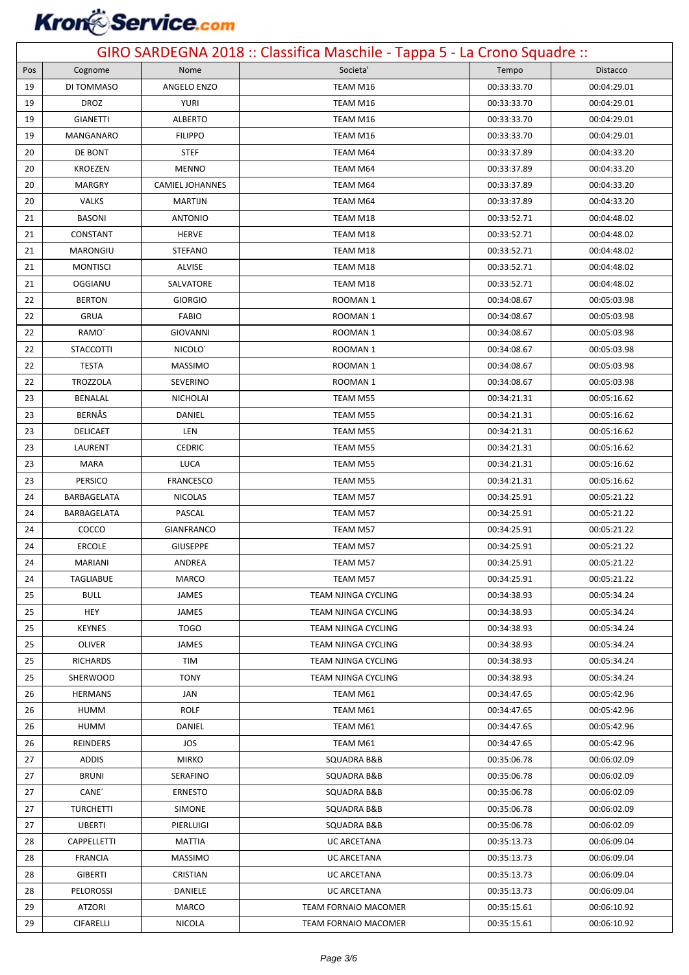### **Kron**&Service.com

| GIRO SARDEGNA 2018 :: Classifica Maschile - Tappa 5 - La Crono Squadre :: |                                      |                            |                                   |                            |                            |  |
|---------------------------------------------------------------------------|--------------------------------------|----------------------------|-----------------------------------|----------------------------|----------------------------|--|
| Pos                                                                       | Cognome                              | Nome                       | Societa'                          | Tempo                      | <b>Distacco</b>            |  |
| 19                                                                        | DI TOMMASO                           | ANGELO ENZO                | TEAM M16                          | 00:33:33.70                | 00:04:29.01                |  |
| 19                                                                        | <b>DROZ</b>                          | <b>YURI</b>                | TEAM M16                          | 00:33:33.70                | 00:04:29.01                |  |
| 19                                                                        | <b>GIANETTI</b>                      | <b>ALBERTO</b>             | TEAM M16                          | 00:33:33.70                | 00:04:29.01                |  |
| 19                                                                        | MANGANARO                            | <b>FILIPPO</b>             | TEAM M16                          | 00:33:33.70                | 00:04:29.01                |  |
| 20                                                                        | DE BONT                              | <b>STEF</b>                | TEAM M64                          | 00:33:37.89                | 00:04:33.20                |  |
| 20                                                                        | <b>KROEZEN</b>                       | <b>MENNO</b>               | TEAM M64                          | 00:33:37.89                | 00:04:33.20                |  |
| 20                                                                        | <b>MARGRY</b>                        | <b>CAMIEL JOHANNES</b>     | TEAM M64                          | 00:33:37.89                | 00:04:33.20                |  |
| 20                                                                        | <b>VALKS</b>                         | <b>MARTIJN</b>             | TEAM M64                          | 00:33:37.89                | 00:04:33.20                |  |
| 21                                                                        | <b>BASONI</b>                        | <b>ANTONIO</b>             | TEAM M18                          | 00:33:52.71                | 00:04:48.02                |  |
| 21                                                                        | CONSTANT                             | <b>HERVE</b>               | TEAM M18                          | 00:33:52.71                | 00:04:48.02                |  |
| 21                                                                        | MARONGIU                             | <b>STEFANO</b>             | TEAM M18                          | 00:33:52.71                | 00:04:48.02                |  |
| 21                                                                        | <b>MONTISCI</b>                      | <b>ALVISE</b>              | TEAM M18                          | 00:33:52.71                | 00:04:48.02                |  |
| 21                                                                        | OGGIANU                              | SALVATORE                  | TEAM M18                          | 00:33:52.71                | 00:04:48.02                |  |
| 22                                                                        | <b>BERTON</b>                        | <b>GIORGIO</b>             | ROOMAN 1                          | 00:34:08.67                | 00:05:03.98                |  |
| 22                                                                        | <b>GRUA</b>                          | <b>FABIO</b>               | ROOMAN 1                          | 00:34:08.67                | 00:05:03.98                |  |
| 22                                                                        | RAMO'                                | <b>GIOVANNI</b>            | ROOMAN 1                          | 00:34:08.67                | 00:05:03.98                |  |
| 22                                                                        | <b>STACCOTTI</b>                     | NICOLO <sup>'</sup>        | ROOMAN 1                          | 00:34:08.67                | 00:05:03.98                |  |
| 22                                                                        | <b>TESTA</b>                         | <b>MASSIMO</b>             | ROOMAN 1                          | 00:34:08.67                | 00:05:03.98                |  |
| 22                                                                        | <b>TROZZOLA</b>                      | <b>SEVERINO</b>            | ROOMAN 1                          | 00:34:08.67                | 00:05:03.98                |  |
| 23                                                                        | BENALAL                              | <b>NICHOLAI</b>            | TEAM M55                          | 00:34:21.31                | 00:05:16.62                |  |
| 23                                                                        | <b>BERNÅS</b>                        | DANIEL                     | TEAM M55                          | 00:34:21.31                | 00:05:16.62                |  |
| 23                                                                        | DELICAET                             | LEN                        | TEAM M55                          | 00:34:21.31                | 00:05:16.62                |  |
| 23                                                                        | LAURENT                              | CEDRIC                     | TEAM M55                          | 00:34:21.31                | 00:05:16.62                |  |
| 23                                                                        | MARA                                 | <b>LUCA</b>                | TEAM M55                          | 00:34:21.31                | 00:05:16.62                |  |
| 23                                                                        | PERSICO                              | <b>FRANCESCO</b>           | TEAM M55                          | 00:34:21.31                | 00:05:16.62                |  |
| 24                                                                        | BARBAGELATA                          | <b>NICOLAS</b>             | TEAM M57                          | 00:34:25.91                | 00:05:21.22                |  |
| 24                                                                        | BARBAGELATA                          | PASCAL                     | TEAM M57                          | 00:34:25.91                | 00:05:21.22                |  |
| 24                                                                        | COCCO                                | <b>GIANFRANCO</b>          | TEAM M57                          | 00:34:25.91                | 00:05:21.22                |  |
| 24                                                                        | <b>ERCOLE</b>                        | <b>GIUSEPPE</b>            | TEAM M57                          | 00:34:25.91                | 00:05:21.22                |  |
| 24                                                                        | <b>MARIANI</b>                       | ANDREA                     | TEAM M57                          | 00:34:25.91                | 00:05:21.22                |  |
| 24                                                                        | <b>TAGLIABUE</b>                     | MARCO                      | TEAM M57                          | 00:34:25.91                | 00:05:21.22                |  |
| 25                                                                        | <b>BULL</b>                          | <b>JAMES</b>               | TEAM NJINGA CYCLING               | 00:34:38.93                | 00:05:34.24                |  |
| 25                                                                        | <b>HEY</b>                           | <b>JAMES</b>               | TEAM NJINGA CYCLING               | 00:34:38.93                | 00:05:34.24                |  |
| 25                                                                        | <b>KEYNES</b>                        | <b>TOGO</b>                | TEAM NJINGA CYCLING               | 00:34:38.93                | 00:05:34.24                |  |
| 25                                                                        | OLIVER                               | <b>JAMES</b>               | TEAM NJINGA CYCLING               | 00:34:38.93                | 00:05:34.24                |  |
| 25                                                                        | <b>RICHARDS</b>                      | TIM                        | TEAM NJINGA CYCLING               | 00:34:38.93                | 00:05:34.24                |  |
| 25                                                                        | SHERWOOD                             | TONY                       | TEAM NJINGA CYCLING               | 00:34:38.93                | 00:05:34.24                |  |
| 26                                                                        | <b>HERMANS</b>                       | JAN                        | TEAM M61                          | 00:34:47.65                | 00:05:42.96                |  |
| 26                                                                        | <b>HUMM</b>                          | <b>ROLF</b>                | TEAM M61                          | 00:34:47.65                | 00:05:42.96                |  |
| 26                                                                        | <b>HUMM</b>                          | DANIEL                     | TEAM M61                          | 00:34:47.65                | 00:05:42.96                |  |
| 26                                                                        | REINDERS                             | JOS                        | TEAM M61                          | 00:34:47.65                | 00:05:42.96                |  |
| 27<br>27                                                                  | <b>ADDIS</b><br><b>BRUNI</b>         | <b>MIRKO</b>               | SQUADRA B&B<br>SQUADRA B&B        | 00:35:06.78                | 00:06:02.09                |  |
|                                                                           |                                      | SERAFINO                   |                                   | 00:35:06.78                | 00:06:02.09                |  |
| 27                                                                        | CANE <sup>'</sup>                    | <b>ERNESTO</b>             | SQUADRA B&B                       | 00:35:06.78                | 00:06:02.09                |  |
| 27                                                                        | <b>TURCHETTI</b>                     | <b>SIMONE</b><br>PIERLUIGI | SQUADRA B&B                       | 00:35:06.78<br>00:35:06.78 | 00:06:02.09<br>00:06:02.09 |  |
| 27                                                                        | <b>UBERTI</b>                        |                            | SQUADRA B&B                       |                            |                            |  |
| 28                                                                        | <b>CAPPELLETTI</b><br><b>FRANCIA</b> | MATTIA<br><b>MASSIMO</b>   | <b>UC ARCETANA</b><br>UC ARCETANA | 00:35:13.73                | 00:06:09.04<br>00:06:09.04 |  |
| 28<br>28                                                                  | <b>GIBERTI</b>                       | <b>CRISTIAN</b>            | <b>UC ARCETANA</b>                | 00:35:13.73<br>00:35:13.73 | 00:06:09.04                |  |
| 28                                                                        | PELOROSSI                            | DANIELE                    | UC ARCETANA                       | 00:35:13.73                | 00:06:09.04                |  |
| 29                                                                        | <b>ATZORI</b>                        | MARCO                      | TEAM FORNAIO MACOMER              | 00:35:15.61                | 00:06:10.92                |  |
| 29                                                                        | CIFARELLI                            | NICOLA                     | TEAM FORNAIO MACOMER              | 00:35:15.61                | 00:06:10.92                |  |
|                                                                           |                                      |                            |                                   |                            |                            |  |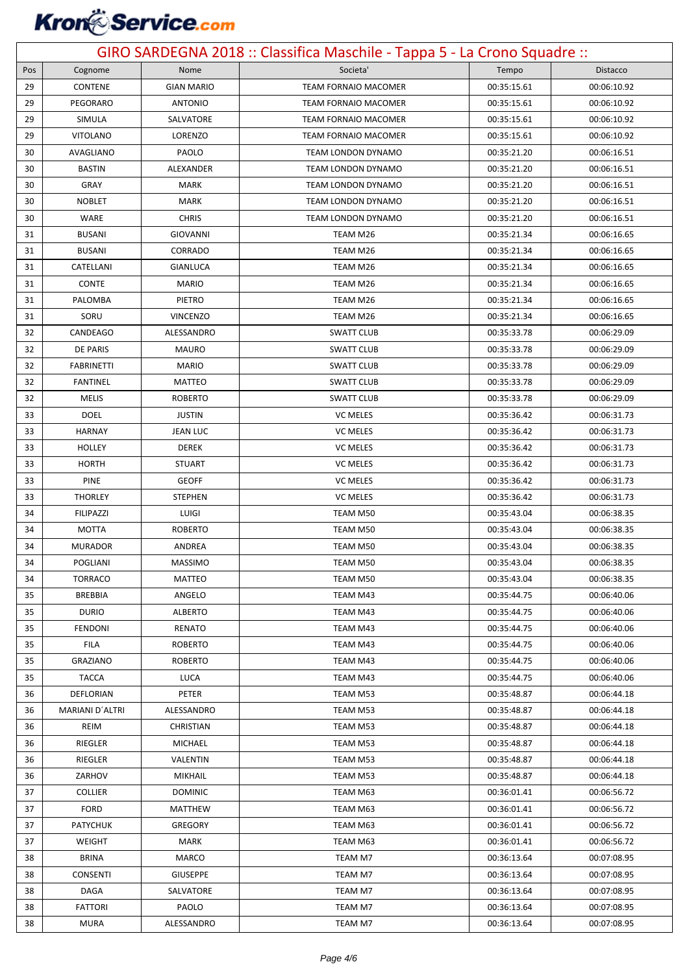### **Kron**&Service.com

| GIRO SARDEGNA 2018 :: Classifica Maschile - Tappa 5 - La Crono Squadre :: |                               |                    |                             |                            |                            |  |
|---------------------------------------------------------------------------|-------------------------------|--------------------|-----------------------------|----------------------------|----------------------------|--|
| Pos                                                                       | Cognome                       | Nome               | Societa'                    | Tempo                      | Distacco                   |  |
| 29                                                                        | CONTENE                       | <b>GIAN MARIO</b>  | <b>TEAM FORNAIO MACOMER</b> | 00:35:15.61                | 00:06:10.92                |  |
| 29                                                                        | PEGORARO                      | <b>ANTONIO</b>     | <b>TEAM FORNAIO MACOMER</b> | 00:35:15.61                | 00:06:10.92                |  |
| 29                                                                        | SIMULA                        | SALVATORE          | <b>TEAM FORNAIO MACOMER</b> | 00:35:15.61                | 00:06:10.92                |  |
| 29                                                                        | <b>VITOLANO</b>               | LORENZO            | TEAM FORNAIO MACOMER        | 00:35:15.61                | 00:06:10.92                |  |
| 30                                                                        | AVAGLIANO                     | PAOLO              | TEAM LONDON DYNAMO          | 00:35:21.20                | 00:06:16.51                |  |
| 30                                                                        | <b>BASTIN</b>                 | ALEXANDER          | <b>TEAM LONDON DYNAMO</b>   | 00:35:21.20                | 00:06:16.51                |  |
| 30                                                                        | GRAY                          | <b>MARK</b>        | TEAM LONDON DYNAMO          | 00:35:21.20                | 00:06:16.51                |  |
| 30                                                                        | <b>NOBLET</b>                 | MARK               | <b>TEAM LONDON DYNAMO</b>   | 00:35:21.20                | 00:06:16.51                |  |
| 30                                                                        | WARE                          | <b>CHRIS</b>       | <b>TEAM LONDON DYNAMO</b>   | 00:35:21.20                | 00:06:16.51                |  |
| 31                                                                        | <b>BUSANI</b>                 | <b>GIOVANNI</b>    | TEAM M26                    | 00:35:21.34                | 00:06:16.65                |  |
| 31                                                                        | <b>BUSANI</b>                 | CORRADO            | TEAM M26                    | 00:35:21.34                | 00:06:16.65                |  |
| 31                                                                        | CATELLANI                     | GIANLUCA           | TEAM M26                    | 00:35:21.34                | 00:06:16.65                |  |
| 31                                                                        | <b>CONTE</b>                  | <b>MARIO</b>       | TEAM M26                    | 00:35:21.34                | 00:06:16.65                |  |
| 31                                                                        | PALOMBA                       | PIETRO             | TEAM M26                    | 00:35:21.34                | 00:06:16.65                |  |
| 31                                                                        | SORU                          | <b>VINCENZO</b>    | TEAM M26                    | 00:35:21.34                | 00:06:16.65                |  |
| 32                                                                        | CANDEAGO                      | ALESSANDRO         | <b>SWATT CLUB</b>           | 00:35:33.78                | 00:06:29.09                |  |
| 32                                                                        | <b>DE PARIS</b>               | <b>MAURO</b>       | <b>SWATT CLUB</b>           | 00:35:33.78                | 00:06:29.09                |  |
| 32                                                                        | <b>FABRINETTI</b>             | <b>MARIO</b>       | <b>SWATT CLUB</b>           | 00:35:33.78                | 00:06:29.09                |  |
| 32                                                                        | <b>FANTINEL</b>               | <b>MATTEO</b>      | <b>SWATT CLUB</b>           | 00:35:33.78                | 00:06:29.09                |  |
| 32                                                                        | <b>MELIS</b>                  | <b>ROBERTO</b>     | <b>SWATT CLUB</b>           | 00:35:33.78                | 00:06:29.09                |  |
| 33                                                                        | <b>DOEL</b>                   | <b>JUSTIN</b>      | <b>VC MELES</b>             | 00:35:36.42                | 00:06:31.73                |  |
| 33                                                                        | <b>HARNAY</b>                 | JEAN LUC           | <b>VC MELES</b>             | 00:35:36.42                | 00:06:31.73                |  |
| 33                                                                        | <b>HOLLEY</b>                 | <b>DEREK</b>       | <b>VC MELES</b>             | 00:35:36.42                | 00:06:31.73                |  |
| 33                                                                        | <b>HORTH</b>                  | <b>STUART</b>      | <b>VC MELES</b>             | 00:35:36.42                | 00:06:31.73                |  |
| 33                                                                        | <b>PINE</b>                   | <b>GEOFF</b>       | <b>VC MELES</b>             | 00:35:36.42                | 00:06:31.73                |  |
| 33                                                                        | <b>THORLEY</b>                | <b>STEPHEN</b>     | <b>VC MELES</b>             | 00:35:36.42                | 00:06:31.73                |  |
| 34                                                                        | <b>FILIPAZZI</b>              | LUIGI              | TEAM M50                    | 00:35:43.04                | 00:06:38.35                |  |
| 34                                                                        | <b>MOTTA</b>                  | <b>ROBERTO</b>     | TEAM M50                    | 00:35:43.04                | 00:06:38.35                |  |
| 34                                                                        | <b>MURADOR</b>                | ANDREA             | TEAM M50                    | 00:35:43.04                | 00:06:38.35                |  |
| 34                                                                        | POGLIANI                      | MASSIMO            | TEAM M50                    | 00:35:43.04                | 00:06:38.35                |  |
| 34                                                                        | <b>TORRACO</b>                | MATTEO             | TEAM M50                    | 00:35:43.04                | 00:06:38.35                |  |
| 35                                                                        | <b>BREBBIA</b>                | ANGELO             | TEAM M43                    | 00:35:44.75                | 00:06:40.06                |  |
| 35                                                                        | <b>DURIO</b>                  | <b>ALBERTO</b>     | TEAM M43                    | 00:35:44.75                | 00:06:40.06                |  |
| 35                                                                        | <b>FENDONI</b>                | RENATO             | TEAM M43                    | 00:35:44.75                | 00:06:40.06                |  |
| 35                                                                        | <b>FILA</b>                   | <b>ROBERTO</b>     | TEAM M43                    | 00:35:44.75                | 00:06:40.06                |  |
| 35                                                                        | <b>GRAZIANO</b>               | <b>ROBERTO</b>     | TEAM M43                    | 00:35:44.75                | 00:06:40.06                |  |
| 35                                                                        | <b>TACCA</b>                  | LUCA               | TEAM M43                    | 00:35:44.75                | 00:06:40.06                |  |
| 36                                                                        | DEFLORIAN                     | PETER              | TEAM M53                    | 00:35:48.87                | 00:06:44.18                |  |
| 36                                                                        | MARIANI D'ALTRI               | ALESSANDRO         | TEAM M53                    | 00:35:48.87                | 00:06:44.18                |  |
| 36                                                                        | REIM                          | <b>CHRISTIAN</b>   | TEAM M53                    | 00:35:48.87                | 00:06:44.18                |  |
| 36                                                                        | RIEGLER                       | MICHAEL            | TEAM M53                    | 00:35:48.87                | 00:06:44.18                |  |
| 36                                                                        | RIEGLER                       | VALENTIN           | TEAM M53                    | 00:35:48.87                | 00:06:44.18                |  |
| 36                                                                        | ZARHOV                        | MIKHAIL            | TEAM M53                    | 00:35:48.87                | 00:06:44.18                |  |
| 37                                                                        | <b>COLLIER</b>                | <b>DOMINIC</b>     | TEAM M63                    | 00:36:01.41                | 00:06:56.72                |  |
| 37                                                                        | <b>FORD</b>                   | MATTHEW            | TEAM M63                    | 00:36:01.41                | 00:06:56.72                |  |
| 37                                                                        | <b>PATYCHUK</b>               | GREGORY            | TEAM M63                    | 00:36:01.41                | 00:06:56.72                |  |
| 37                                                                        | WEIGHT                        | MARK               | TEAM M63                    | 00:36:01.41                | 00:06:56.72                |  |
| 38                                                                        | <b>BRINA</b>                  | MARCO              | TEAM M7                     | 00:36:13.64                | 00:07:08.95                |  |
| 38                                                                        | <b>CONSENTI</b>               | <b>GIUSEPPE</b>    | TEAM M7                     | 00:36:13.64                | 00:07:08.95                |  |
| 38                                                                        | DAGA                          | SALVATORE<br>PAOLO | TEAM M7                     | 00:36:13.64                | 00:07:08.95                |  |
| 38<br>38                                                                  | <b>FATTORI</b><br><b>MURA</b> | ALESSANDRO         | TEAM M7<br>TEAM M7          | 00:36:13.64<br>00:36:13.64 | 00:07:08.95<br>00:07:08.95 |  |
|                                                                           |                               |                    |                             |                            |                            |  |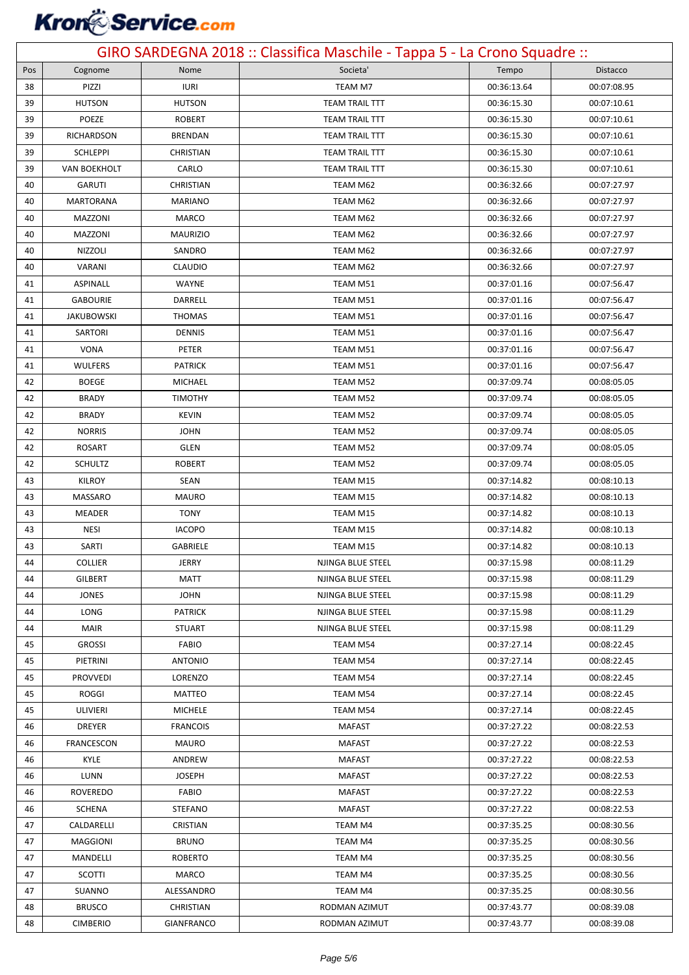### **Kron**&Service.com

| GIRO SARDEGNA 2018 :: Classifica Maschile - Tappa 5 - La Crono Squadre :: |                     |                   |                       |             |             |  |
|---------------------------------------------------------------------------|---------------------|-------------------|-----------------------|-------------|-------------|--|
| Pos                                                                       | Cognome             | Nome              | Societa'              | Tempo       | Distacco    |  |
| 38                                                                        | PIZZI               | <b>IURI</b>       | TEAM M7               | 00:36:13.64 | 00:07:08.95 |  |
| 39                                                                        | <b>HUTSON</b>       | <b>HUTSON</b>     | <b>TEAM TRAIL TTT</b> | 00:36:15.30 | 00:07:10.61 |  |
| 39                                                                        | POEZE               | <b>ROBERT</b>     | <b>TEAM TRAIL TTT</b> | 00:36:15.30 | 00:07:10.61 |  |
| 39                                                                        | RICHARDSON          | <b>BRENDAN</b>    | <b>TEAM TRAIL TTT</b> | 00:36:15.30 | 00:07:10.61 |  |
| 39                                                                        | <b>SCHLEPPI</b>     | <b>CHRISTIAN</b>  | <b>TEAM TRAIL TTT</b> | 00:36:15.30 | 00:07:10.61 |  |
| 39                                                                        | <b>VAN BOEKHOLT</b> | CARLO             | <b>TEAM TRAIL TTT</b> | 00:36:15.30 | 00:07:10.61 |  |
| 40                                                                        | <b>GARUTI</b>       | <b>CHRISTIAN</b>  | TEAM M62              | 00:36:32.66 | 00:07:27.97 |  |
| 40                                                                        | MARTORANA           | <b>MARIANO</b>    | TEAM M62              | 00:36:32.66 | 00:07:27.97 |  |
| 40                                                                        | MAZZONI             | <b>MARCO</b>      | TEAM M62              | 00:36:32.66 | 00:07:27.97 |  |
| 40                                                                        | MAZZONI             | <b>MAURIZIO</b>   | TEAM M62              | 00:36:32.66 | 00:07:27.97 |  |
| 40                                                                        | <b>NIZZOLI</b>      | SANDRO            | TEAM M62              | 00:36:32.66 | 00:07:27.97 |  |
| 40                                                                        | VARANI              | <b>CLAUDIO</b>    | TEAM M62              | 00:36:32.66 | 00:07:27.97 |  |
| 41                                                                        | ASPINALL            | WAYNE             | TEAM M51              | 00:37:01.16 | 00:07:56.47 |  |
| 41                                                                        | <b>GABOURIE</b>     | DARRELL           | TEAM M51              | 00:37:01.16 | 00:07:56.47 |  |
| 41                                                                        | <b>JAKUBOWSKI</b>   | <b>THOMAS</b>     | TEAM M51              | 00:37:01.16 | 00:07:56.47 |  |
| 41                                                                        | SARTORI             | <b>DENNIS</b>     | TEAM M51              | 00:37:01.16 | 00:07:56.47 |  |
| 41                                                                        | <b>VONA</b>         | PETER             | TEAM M51              | 00:37:01.16 | 00:07:56.47 |  |
| 41                                                                        | <b>WULFERS</b>      | <b>PATRICK</b>    | TEAM M51              | 00:37:01.16 | 00:07:56.47 |  |
| 42                                                                        | <b>BOEGE</b>        | MICHAEL           | TEAM M52              | 00:37:09.74 | 00:08:05.05 |  |
| 42                                                                        | <b>BRADY</b>        | <b>TIMOTHY</b>    | TEAM M52              | 00:37:09.74 | 00:08:05.05 |  |
| 42                                                                        | <b>BRADY</b>        | <b>KEVIN</b>      | TEAM M52              | 00:37:09.74 | 00:08:05.05 |  |
| 42                                                                        | <b>NORRIS</b>       | <b>JOHN</b>       | TEAM M52              | 00:37:09.74 | 00:08:05.05 |  |
| 42                                                                        | <b>ROSART</b>       | GLEN              | TEAM M52              | 00:37:09.74 | 00:08:05.05 |  |
| 42                                                                        | <b>SCHULTZ</b>      | <b>ROBERT</b>     | TEAM M52              | 00:37:09.74 | 00:08:05.05 |  |
| 43                                                                        | <b>KILROY</b>       | <b>SEAN</b>       | TEAM M15              | 00:37:14.82 | 00:08:10.13 |  |
| 43                                                                        | MASSARO             | MAURO             | TEAM M15              | 00:37:14.82 | 00:08:10.13 |  |
| 43                                                                        | MEADER              | <b>TONY</b>       | TEAM M15              | 00:37:14.82 | 00:08:10.13 |  |
| 43                                                                        | <b>NESI</b>         | <b>IACOPO</b>     | TEAM M15              | 00:37:14.82 | 00:08:10.13 |  |
| 43                                                                        | SARTI               | <b>GABRIELE</b>   | TEAM M15              | 00:37:14.82 | 00:08:10.13 |  |
| 44                                                                        | <b>COLLIER</b>      | <b>JERRY</b>      | NJINGA BLUE STEEL     | 00:37:15.98 | 00:08:11.29 |  |
| 44                                                                        | <b>GILBERT</b>      | MATT              | NJINGA BLUE STEEL     | 00:37:15.98 | 00:08:11.29 |  |
| 44                                                                        | <b>JONES</b>        | <b>JOHN</b>       | NJINGA BLUE STEEL     | 00:37:15.98 | 00:08:11.29 |  |
| 44                                                                        | LONG                | <b>PATRICK</b>    | NJINGA BLUE STEEL     | 00:37:15.98 | 00:08:11.29 |  |
| 44                                                                        | <b>MAIR</b>         | <b>STUART</b>     | NJINGA BLUE STEEL     | 00:37:15.98 | 00:08:11.29 |  |
| 45                                                                        | <b>GROSSI</b>       | FABIO             | TEAM M54              | 00:37:27.14 | 00:08:22.45 |  |
| 45                                                                        | PIETRINI            | <b>ANTONIO</b>    | TEAM M54              | 00:37:27.14 | 00:08:22.45 |  |
| 45                                                                        | <b>PROVVEDI</b>     | LORENZO           | TEAM M54              | 00:37:27.14 | 00:08:22.45 |  |
| 45                                                                        | <b>ROGGI</b>        | MATTEO            | <b>TEAM M54</b>       | 00:37:27.14 | 00:08:22.45 |  |
| 45                                                                        | ULIVIERI            | <b>MICHELE</b>    | TEAM M54              | 00:37:27.14 | 00:08:22.45 |  |
| 46                                                                        | <b>DREYER</b>       | <b>FRANCOIS</b>   | <b>MAFAST</b>         | 00:37:27.22 | 00:08:22.53 |  |
| 46                                                                        | FRANCESCON          | <b>MAURO</b>      | <b>MAFAST</b>         | 00:37:27.22 | 00:08:22.53 |  |
| 46                                                                        | KYLE                | ANDREW            | <b>MAFAST</b>         | 00:37:27.22 | 00:08:22.53 |  |
| 46                                                                        | LUNN                | <b>JOSEPH</b>     | <b>MAFAST</b>         | 00:37:27.22 | 00:08:22.53 |  |
| 46                                                                        | <b>ROVEREDO</b>     | <b>FABIO</b>      | <b>MAFAST</b>         | 00:37:27.22 | 00:08:22.53 |  |
| 46                                                                        | SCHENA              | <b>STEFANO</b>    | <b>MAFAST</b>         | 00:37:27.22 | 00:08:22.53 |  |
| 47                                                                        | CALDARELLI          | <b>CRISTIAN</b>   | TEAM M4               | 00:37:35.25 | 00:08:30.56 |  |
| 47                                                                        | <b>MAGGIONI</b>     | <b>BRUNO</b>      | TEAM M4               | 00:37:35.25 | 00:08:30.56 |  |
| 47                                                                        | MANDELLI            | <b>ROBERTO</b>    | TEAM M4               | 00:37:35.25 | 00:08:30.56 |  |
| 47                                                                        | <b>SCOTTI</b>       | MARCO             | TEAM M4               | 00:37:35.25 | 00:08:30.56 |  |
| 47                                                                        | SUANNO              | ALESSANDRO        | TEAM M4               | 00:37:35.25 | 00:08:30.56 |  |
| 48                                                                        | <b>BRUSCO</b>       | CHRISTIAN         | RODMAN AZIMUT         | 00:37:43.77 | 00:08:39.08 |  |
| 48                                                                        | <b>CIMBERIO</b>     | <b>GIANFRANCO</b> | RODMAN AZIMUT         | 00:37:43.77 | 00:08:39.08 |  |